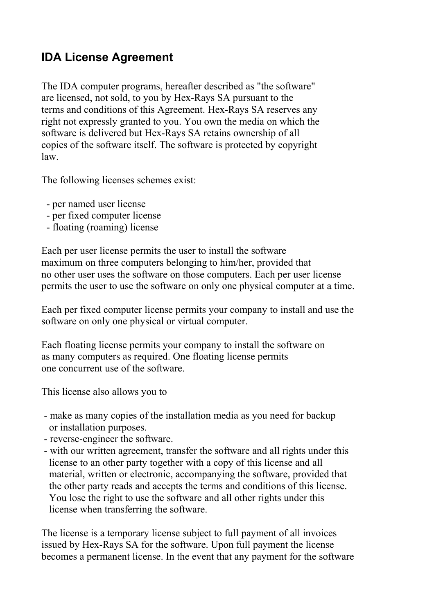# **IDA License Agreement**

The IDA computer programs, hereafter described as "the software" are licensed, not sold, to you by Hex-Rays SA pursuant to the terms and conditions of this Agreement. Hex-Rays SA reserves any right not expressly granted to you. You own the media on which the software is delivered but Hex-Rays SA retains ownership of all copies of the software itself. The software is protected by copyright law.

The following licenses schemes exist:

- per named user license
- per fixed computer license
- floating (roaming) license

Each per user license permits the user to install the software maximum on three computers belonging to him/her, provided that no other user uses the software on those computers. Each per user license permits the user to use the software on only one physical computer at a time.

Each per fixed computer license permits your company to install and use the software on only one physical or virtual computer.

Each floating license permits your company to install the software on as many computers as required. One floating license permits one concurrent use of the software.

This license also allows you to

- make as many copies of the installation media as you need for backup or installation purposes.
- reverse-engineer the software.
- with our written agreement, transfer the software and all rights under this license to an other party together with a copy of this license and all material, written or electronic, accompanying the software, provided that the other party reads and accepts the terms and conditions of this license. You lose the right to use the software and all other rights under this license when transferring the software.

The license is a temporary license subject to full payment of all invoices issued by Hex-Rays SA for the software. Upon full payment the license becomes a permanent license. In the event that any payment for the software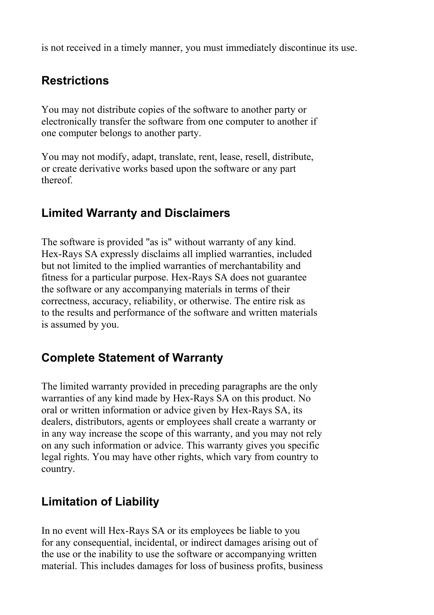is not received in a timely manner, you must immediately discontinue its use.

## **Restrictions**

You may not distribute copies of the software to another party or electronically transfer the software from one computer to another if one computer belongs to another party.

You may not modify, adapt, translate, rent, lease, resell, distribute, or create derivative works based upon the software or any part thereof.

## **Limited Warranty and Disclaimers**

The software is provided "as is" without warranty of any kind. Hex-Rays SA expressly disclaims all implied warranties, included but not limited to the implied warranties of merchantability and fitness for a particular purpose. Hex-Rays SA does not guarantee the software or any accompanying materials in terms of their correctness, accuracy, reliability, or otherwise. The entire risk as to the results and performance of the software and written materials is assumed by you.

#### **Complete Statement of Warranty**

The limited warranty provided in preceding paragraphs are the only warranties of any kind made by Hex-Rays SA on this product. No oral or written information or advice given by Hex-Rays SA, its dealers, distributors, agents or employees shall create a warranty or in any way increase the scope of this warranty, and you may not rely on any such information or advice. This warranty gives you specific legal rights. You may have other rights, which vary from country to country.

# **Limitation of Liability**

In no event will Hex-Rays SA or its employees be liable to you for any consequential, incidental, or indirect damages arising out of the use or the inability to use the software or accompanying written material. This includes damages for loss of business profits, business